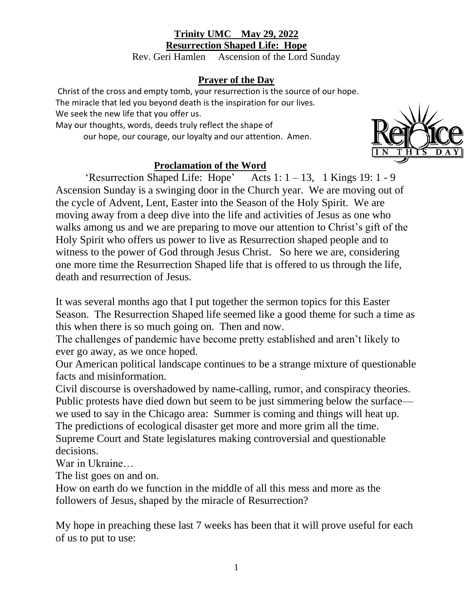## **Trinity UMC May 29, 2022 Resurrection Shaped Life: Hope**

Rev. Geri Hamlen Ascension of the Lord Sunday

## **Prayer of the Day**

Christ of the cross and empty tomb, your resurrection is the source of our hope. The miracle that led you beyond death is the inspiration for our lives. We seek the new life that you offer us.

May our thoughts, words, deeds truly reflect the shape of

our hope, our courage, our loyalty and our attention. Amen.



## **Proclamation of the Word**

'Resurrection Shaped Life: Hope' Acts  $1: 1 - 13$ , 1 Kings 19: 1 - 9 Ascension Sunday is a swinging door in the Church year. We are moving out of the cycle of Advent, Lent, Easter into the Season of the Holy Spirit. We are moving away from a deep dive into the life and activities of Jesus as one who walks among us and we are preparing to move our attention to Christ's gift of the Holy Spirit who offers us power to live as Resurrection shaped people and to witness to the power of God through Jesus Christ. So here we are, considering one more time the Resurrection Shaped life that is offered to us through the life, death and resurrection of Jesus.

It was several months ago that I put together the sermon topics for this Easter Season. The Resurrection Shaped life seemed like a good theme for such a time as this when there is so much going on. Then and now.

The challenges of pandemic have become pretty established and aren't likely to ever go away, as we once hoped.

Our American political landscape continues to be a strange mixture of questionable facts and misinformation.

Civil discourse is overshadowed by name-calling, rumor, and conspiracy theories. Public protests have died down but seem to be just simmering below the surface we used to say in the Chicago area: Summer is coming and things will heat up. The predictions of ecological disaster get more and more grim all the time. Supreme Court and State legislatures making controversial and questionable decisions.

War in Ukraine…

The list goes on and on.

How on earth do we function in the middle of all this mess and more as the followers of Jesus, shaped by the miracle of Resurrection?

My hope in preaching these last 7 weeks has been that it will prove useful for each of us to put to use: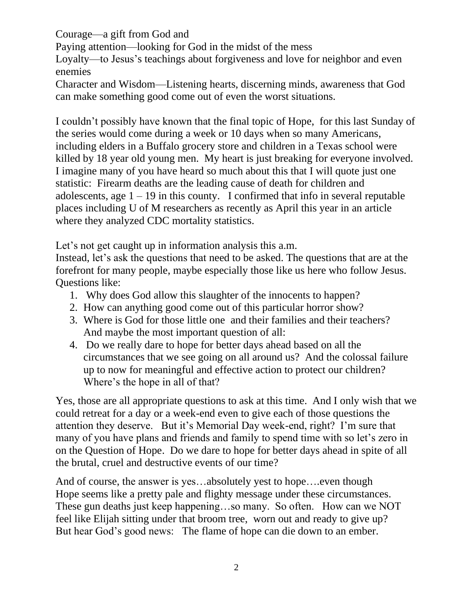Courage—a gift from God and

Paying attention—looking for God in the midst of the mess

Loyalty—to Jesus's teachings about forgiveness and love for neighbor and even enemies

Character and Wisdom—Listening hearts, discerning minds, awareness that God can make something good come out of even the worst situations.

I couldn't possibly have known that the final topic of Hope, for this last Sunday of the series would come during a week or 10 days when so many Americans, including elders in a Buffalo grocery store and children in a Texas school were killed by 18 year old young men. My heart is just breaking for everyone involved. I imagine many of you have heard so much about this that I will quote just one statistic: Firearm deaths are the leading cause of death for children and adolescents, age  $1 - 19$  in this county. I confirmed that info in several reputable places including U of M researchers as recently as April this year in an article where they analyzed CDC mortality statistics.

Let's not get caught up in information analysis this a.m.

Instead, let's ask the questions that need to be asked. The questions that are at the forefront for many people, maybe especially those like us here who follow Jesus. Questions like:

- 1. Why does God allow this slaughter of the innocents to happen?
- 2. How can anything good come out of this particular horror show?
- 3. Where is God for those little one and their families and their teachers? And maybe the most important question of all:
- 4. Do we really dare to hope for better days ahead based on all the circumstances that we see going on all around us? And the colossal failure up to now for meaningful and effective action to protect our children? Where's the hope in all of that?

Yes, those are all appropriate questions to ask at this time. And I only wish that we could retreat for a day or a week-end even to give each of those questions the attention they deserve. But it's Memorial Day week-end, right? I'm sure that many of you have plans and friends and family to spend time with so let's zero in on the Question of Hope. Do we dare to hope for better days ahead in spite of all the brutal, cruel and destructive events of our time?

And of course, the answer is yes...absolutely yest to hope....even though Hope seems like a pretty pale and flighty message under these circumstances. These gun deaths just keep happening…so many. So often. How can we NOT feel like Elijah sitting under that broom tree, worn out and ready to give up? But hear God's good news: The flame of hope can die down to an ember.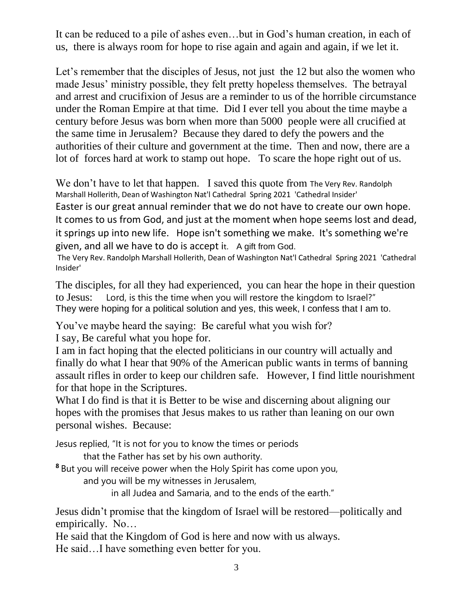It can be reduced to a pile of ashes even…but in God's human creation, in each of us, there is always room for hope to rise again and again and again, if we let it.

Let's remember that the disciples of Jesus, not just the 12 but also the women who made Jesus' ministry possible, they felt pretty hopeless themselves. The betrayal and arrest and crucifixion of Jesus are a reminder to us of the horrible circumstance under the Roman Empire at that time. Did I ever tell you about the time maybe a century before Jesus was born when more than 5000 people were all crucified at the same time in Jerusalem? Because they dared to defy the powers and the authorities of their culture and government at the time. Then and now, there are a lot of forces hard at work to stamp out hope. To scare the hope right out of us.

We don't have to let that happen. I saved this quote from The Very Rev. Randolph Marshall Hollerith, Dean of Washington Nat'l Cathedral Spring 2021 'Cathedral Insider' Easter is our great annual reminder that we do not have to create our own hope. It comes to us from God, and just at the moment when hope seems lost and dead, it springs up into new life. Hope isn't something we make. It's something we're given, and all we have to do is accept it. A gift from God.

The Very Rev. Randolph Marshall Hollerith, Dean of Washington Nat'l Cathedral Spring 2021 'Cathedral Insider'

The disciples, for all they had experienced, you can hear the hope in their question to Jesus: Lord, is this the time when you will restore the kingdom to Israel?" They were hoping for a political solution and yes, this week, I confess that I am to.

You've maybe heard the saying: Be careful what you wish for? I say, Be careful what you hope for.

I am in fact hoping that the elected politicians in our country will actually and finally do what I hear that 90% of the American public wants in terms of banning assault rifles in order to keep our children safe. However, I find little nourishment for that hope in the Scriptures.

What I do find is that it is Better to be wise and discerning about aligning our hopes with the promises that Jesus makes to us rather than leaning on our own personal wishes. Because:

Jesus replied, "It is not for you to know the times or periods

that the Father has set by his own authority.

**<sup>8</sup>** But you will receive power when the Holy Spirit has come upon you,

and you will be my witnesses in Jerusalem,

in all Judea and Samaria, and to the ends of the earth."

Jesus didn't promise that the kingdom of Israel will be restored—politically and empirically. No…

He said that the Kingdom of God is here and now with us always. He said…I have something even better for you.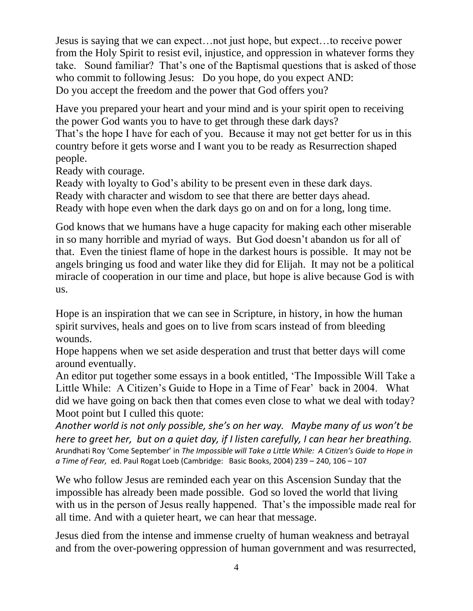Jesus is saying that we can expect…not just hope, but expect…to receive power from the Holy Spirit to resist evil, injustice, and oppression in whatever forms they take. Sound familiar? That's one of the Baptismal questions that is asked of those who commit to following Jesus: Do you hope, do you expect AND: Do you accept the freedom and the power that God offers you?

Have you prepared your heart and your mind and is your spirit open to receiving the power God wants you to have to get through these dark days? That's the hope I have for each of you. Because it may not get better for us in this country before it gets worse and I want you to be ready as Resurrection shaped people.

Ready with courage.

Ready with loyalty to God's ability to be present even in these dark days. Ready with character and wisdom to see that there are better days ahead. Ready with hope even when the dark days go on and on for a long, long time.

God knows that we humans have a huge capacity for making each other miserable in so many horrible and myriad of ways. But God doesn't abandon us for all of that. Even the tiniest flame of hope in the darkest hours is possible. It may not be angels bringing us food and water like they did for Elijah. It may not be a political miracle of cooperation in our time and place, but hope is alive because God is with us.

Hope is an inspiration that we can see in Scripture, in history, in how the human spirit survives, heals and goes on to live from scars instead of from bleeding wounds.

Hope happens when we set aside desperation and trust that better days will come around eventually.

An editor put together some essays in a book entitled, 'The Impossible Will Take a Little While: A Citizen's Guide to Hope in a Time of Fear' back in 2004. What did we have going on back then that comes even close to what we deal with today? Moot point but I culled this quote:

*Another world is not only possible, she's on her way. Maybe many of us won't be here to greet her, but on a quiet day, if I listen carefully, I can hear her breathing.*  Arundhati Roy 'Come September' in *The Impossible will Take a Little While: A Citizen's Guide to Hope in a Time of Fear,* ed. Paul Rogat Loeb (Cambridge: Basic Books, 2004) 239 – 240, 106 – 107

We who follow Jesus are reminded each year on this Ascension Sunday that the impossible has already been made possible. God so loved the world that living with us in the person of Jesus really happened. That's the impossible made real for all time. And with a quieter heart, we can hear that message.

Jesus died from the intense and immense cruelty of human weakness and betrayal and from the over-powering oppression of human government and was resurrected,